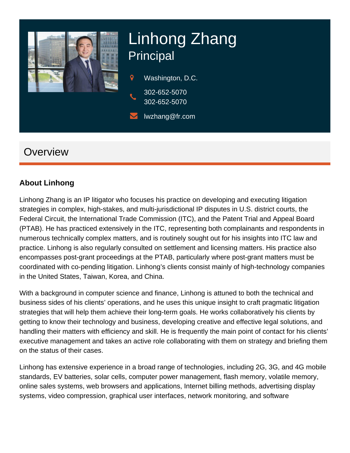

# Linhong Zhang Principal

 $\mathsf{Q}$ Washington, D.C. 302-652-5070

- 302-652-5070
- lwzhang@fr.com

# **Overview**

### **About Linhong**

Linhong Zhang is an IP litigator who focuses his practice on developing and executing litigation strategies in complex, high-stakes, and multi-jurisdictional IP disputes in U.S. district courts, the Federal Circuit, the International Trade Commission (ITC), and the Patent Trial and Appeal Board (PTAB). He has practiced extensively in the ITC, representing both complainants and respondents in numerous technically complex matters, and is routinely sought out for his insights into ITC law and practice. Linhong is also regularly consulted on settlement and licensing matters. His practice also encompasses post-grant proceedings at the PTAB, particularly where post-grant matters must be coordinated with co-pending litigation. Linhong's clients consist mainly of high-technology companies in the United States, Taiwan, Korea, and China.

With a background in computer science and finance, Linhong is attuned to both the technical and business sides of his clients' operations, and he uses this unique insight to craft pragmatic litigation strategies that will help them achieve their long-term goals. He works collaboratively his clients by getting to know their technology and business, developing creative and effective legal solutions, and handling their matters with efficiency and skill. He is frequently the main point of contact for his clients' executive management and takes an active role collaborating with them on strategy and briefing them on the status of their cases.

Linhong has extensive experience in a broad range of technologies, including 2G, 3G, and 4G mobile standards, EV batteries, solar cells, computer power management, flash memory, volatile memory, online sales systems, web browsers and applications, Internet billing methods, advertising display systems, video compression, graphical user interfaces, network monitoring, and software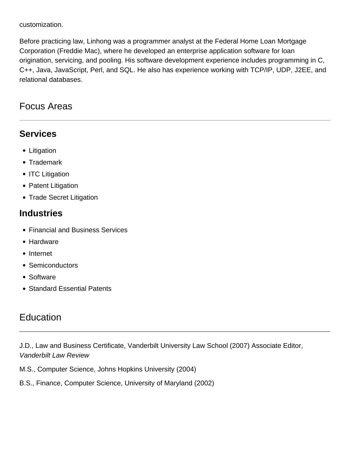customization.

Before practicing law, Linhong was a programmer analyst at the Federal Home Loan Mortgage Corporation (Freddie Mac), where he developed an enterprise application software for loan origination, servicing, and pooling. His software development experience includes programming in C, C++, Java, JavaScript, Perl, and SQL. He also has experience working with TCP/IP, UDP, J2EE, and relational databases.

## Focus Areas

## **Services**

- Litigation
- Trademark
- ITC Litigation
- Patent Litigation
- Trade Secret Litigation

## **Industries**

- Financial and Business Services
- Hardware
- Internet
- Semiconductors
- Software
- Standard Essential Patents

## **Education**

J.D., Law and Business Certificate, Vanderbilt University Law School (2007) Associate Editor, Vanderbilt Law Review

M.S., Computer Science, Johns Hopkins University (2004)

B.S., Finance, Computer Science, University of Maryland (2002)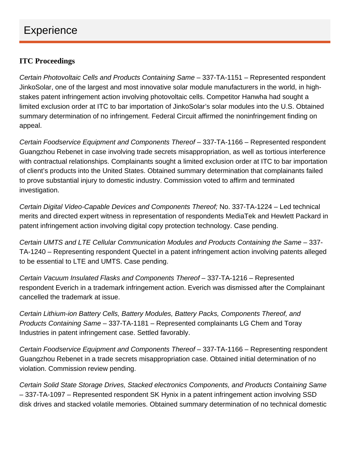# **Experience**

#### ITC Proceedings

[Certain Photovoltaic Cells and Products Containing Same](https://www.fr.com/fish-wins-major-itc-patent-case-jinkosolar/) – 337-TA-1151 – Represented respondent JinkoSolar, one of the largest and most innovative solar module manufacturers in the world, in highstakes patent infringement action involving photovoltaic cells. Competitor Hanwha had sought a limited exclusion order at ITC to bar importation of JinkoSolar's solar modules into the U.S. Obtained summary determination of no infringement. Federal Circuit affirmed the noninfringement finding on appeal.

[Certain Foodservice Equipment and Components Thereof](https://www.fr.com/fish-richardson-secures-rare-win-in-itc-trade-secrets-case/) – 337-TA-1166 – Represented respondent Guangzhou Rebenet in case involving trade secrets misappropriation, as well as tortious interference with contractual relationships. Complainants sought a limited exclusion order at ITC to bar importation of client's products into the United States. Obtained summary determination that complainants failed to prove substantial injury to domestic industry. Commission voted to affirm and terminated investigation.

Certain Digital Video-Capable Devices and Components Thereof; No. 337-TA-1224 – Led technical merits and directed expert witness in representation of respondents MediaTek and Hewlett Packard in patent infringement action involving digital copy protection technology. Case pending.

Certain UMTS and LTE Cellular Communication Modules and Products Containing the Same – 337- TA-1240 – Representing respondent Quectel in a patent infringement action involving patents alleged to be essential to LTE and UMTS. Case pending.

Certain Vacuum Insulated Flasks and Components Thereof – 337-TA-1216 – Represented respondent Everich in a trademark infringement action. Everich was dismissed after the Complainant cancelled the trademark at issue.

Certain Lithium-ion Battery Cells, Battery Modules, Battery Packs, Components Thereof, and Products Containing Same – 337-TA-1181 – Represented complainants LG Chem and Toray Industries in patent infringement case. Settled favorably.

Certain Foodservice Equipment and Components Thereof – 337-TA-1166 – Representing respondent Guangzhou Rebenet in a trade secrets misappropriation case. Obtained initial determination of no violation. Commission review pending.

Certain Solid State Storage Drives, Stacked electronics Components, and Products Containing Same – 337-TA-1097 – Represented respondent SK Hynix in a patent infringement action involving SSD disk drives and stacked volatile memories. Obtained summary determination of no technical domestic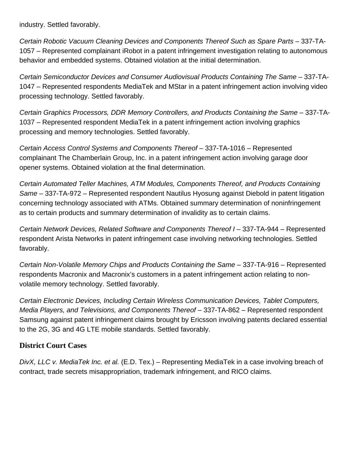industry. Settled favorably.

Certain Robotic Vacuum Cleaning Devices and Components Thereof Such as Spare Parts – 337-TA-1057 – Represented complainant iRobot in a patent infringement investigation relating to autonomous behavior and embedded systems. Obtained violation at the initial determination.

Certain Semiconductor Devices and Consumer Audiovisual Products Containing The Same – 337-TA-1047 – Represented respondents MediaTek and MStar in a patent infringement action involving video processing technology. Settled favorably.

Certain Graphics Processors, DDR Memory Controllers, and Products Containing the Same – 337-TA-1037 – Represented respondent MediaTek in a patent infringement action involving graphics processing and memory technologies. Settled favorably.

Certain Access Control Systems and Components Thereof – 337-TA-1016 – Represented complainant The Chamberlain Group, Inc. in a patent infringement action involving garage door opener systems. Obtained violation at the final determination.

Certain Automated Teller Machines, ATM Modules, Components Thereof, and Products Containing Same – 337-TA-972 – Represented respondent Nautilus Hyosung against Diebold in patent litigation concerning technology associated with ATMs. Obtained summary determination of noninfringement as to certain products and summary determination of invalidity as to certain claims.

Certain Network Devices, Related Software and Components Thereof I – 337-TA-944 – Represented respondent Arista Networks in patent infringement case involving networking technologies. Settled favorably.

Certain Non-Volatile Memory Chips and Products Containing the Same – 337-TA-916 – Represented respondents Macronix and Macronix's customers in a patent infringement action relating to nonvolatile memory technology. Settled favorably.

Certain Electronic Devices, Including Certain Wireless Communication Devices, Tablet Computers, Media Players, and Televisions, and Components Thereof – 337-TA-862 – Represented respondent Samsung against patent infringement claims brought by Ericsson involving patents declared essential to the 2G, 3G and 4G LTE mobile standards. Settled favorably.

#### **District Court Cases**

DivX, LLC v. MediaTek Inc. et al. (E.D. Tex.) – Representing MediaTek in a case involving breach of contract, trade secrets misappropriation, trademark infringement, and RICO claims.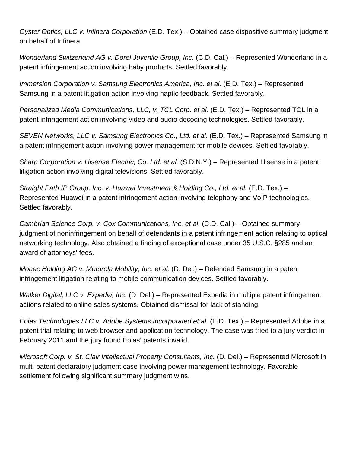Oyster Optics, LLC v. Infinera Corporation (E.D. Tex.) – Obtained case dispositive summary judgment on behalf of Infinera.

Wonderland Switzerland AG v. Dorel Juvenile Group, Inc. (C.D. Cal.) – Represented Wonderland in a patent infringement action involving baby products. Settled favorably.

Immersion Corporation v. Samsung Electronics America, Inc. et al. (E.D. Tex.) – Represented Samsung in a patent litigation action involving haptic feedback. Settled favorably.

Personalized Media Communications, LLC, v. TCL Corp. et al. (E.D. Tex.) – Represented TCL in a patent infringement action involving video and audio decoding technologies. Settled favorably.

SEVEN Networks, LLC v. Samsung Electronics Co., Ltd. et al. (E.D. Tex.) – Represented Samsung in a patent infringement action involving power management for mobile devices. Settled favorably.

Sharp Corporation v. Hisense Electric, Co. Ltd. et al. (S.D.N.Y.) – Represented Hisense in a patent litigation action involving digital televisions. Settled favorably.

Straight Path IP Group, Inc. v. Huawei Investment & Holding Co., Ltd. et al. (E.D. Tex.) – Represented Huawei in a patent infringement action involving telephony and VoIP technologies. Settled favorably.

Cambrian Science Corp. v. Cox Communications, Inc. et al. (C.D. Cal.) – Obtained summary judgment of noninfringement on behalf of defendants in a patent infringement action relating to optical networking technology. Also obtained a finding of exceptional case under 35 U.S.C. §285 and an award of attorneys' fees.

Monec Holding AG v. Motorola Mobility, Inc. et al. (D. Del.) – Defended Samsung in a patent infringement litigation relating to mobile communication devices. Settled favorably.

Walker Digital, LLC v. Expedia, Inc. (D. Del.) – Represented Expedia in multiple patent infringement actions related to online sales systems. Obtained dismissal for lack of standing.

Eolas Technologies LLC v. Adobe Systems Incorporated et al. (E.D. Tex.) – Represented Adobe in a patent trial relating to web browser and application technology. The case was tried to a jury verdict in February 2011 and the jury found Eolas' patents invalid.

Microsoft Corp. v. St. Clair Intellectual Property Consultants, Inc. (D. Del.) – Represented Microsoft in multi-patent declaratory judgment case involving power management technology. Favorable settlement following significant summary judgment wins.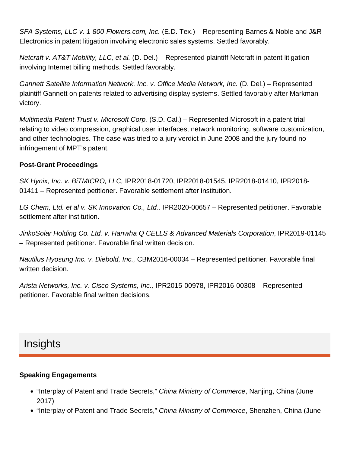SFA Systems, LLC v. 1-800-Flowers.com, Inc. (E.D. Tex.) – Representing Barnes & Noble and J&R Electronics in patent litigation involving electronic sales systems. Settled favorably.

Netcraft v. AT&T Mobility, LLC, et al. (D. Del.) – Represented plaintiff Netcraft in patent litigation involving Internet billing methods. Settled favorably.

Gannett Satellite Information Network, Inc. v. Office Media Network, Inc. (D. Del.) – Represented plaintiff Gannett on patents related to advertising display systems. Settled favorably after Markman victory.

Multimedia Patent Trust v. Microsoft Corp. (S.D. Cal.) – Represented Microsoft in a patent trial relating to video compression, graphical user interfaces, network monitoring, software customization, and other technologies. The case was tried to a jury verdict in June 2008 and the jury found no infringement of MPT's patent.

#### **Post-Grant Proceedings**

SK Hynix, Inc. v. BiTMICRO, LLC, IPR2018-01720, IPR2018-01545, IPR2018-01410, IPR2018- 01411 – Represented petitioner. Favorable settlement after institution.

LG Chem, Ltd. et al v. SK Innovation Co., Ltd., IPR2020-00657 – Represented petitioner. Favorable settlement after institution.

JinkoSolar Holding Co. Ltd. v. Hanwha Q CELLS & Advanced Materials Corporation, IPR2019-01145 – Represented petitioner. Favorable final written decision.

Nautilus Hyosung Inc. v. Diebold, Inc., CBM2016-00034 – Represented petitioner. Favorable final written decision.

Arista Networks, Inc. v. Cisco Systems, Inc., IPR2015-00978, IPR2016-00308 – Represented petitioner. Favorable final written decisions.

# Insights

#### **Speaking Engagements**

- . "Interplay of Patent and Trade Secrets," China Ministry of Commerce, Nanjing, China (June 2017)
- "Interplay of Patent and Trade Secrets," China Ministry of Commerce, Shenzhen, China (June